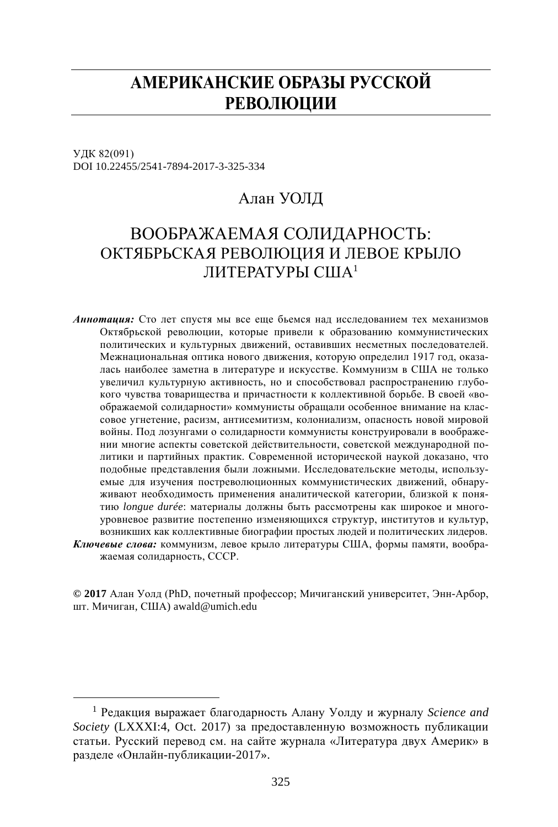# **АМЕРИКАНСКИЕ ОБРАЗЫ РУССКОЙ РЕВОЛЮЦИИ**

УДК 82(091) DOI 10.22455/2541-7894-2017-3-325-334

## Алан УОЛД

# ВООБРАЖАЕМАЯ СОЛИДАРНОСТЬ: ОКТЯБРЬСКАЯ РЕВОЛЮЦИЯ И ЛЕВОЕ КРЫЛО ЛИТЕРАТУРЫ США<sup>1</sup>

- *Аннотация:* Сто лет спустя мы все еще бьемся над исследованием тех механизмов Октябрьской революции, которые привели к образованию коммунистических политических и культурных движений, оставивших несметных последователей. Межнациональная оптика нового движения, которую определил 1917 год, оказалась наиболее заметна в литературе и искусстве. Коммунизм в США не только увеличил культурную активность, но и способствовал распространению глубокого чувства товарищества и причастности к коллективной борьбе. В своей «воображаемой солидарности» коммунисты обращали особенное внимание на классовое угнетение, расизм, антисемитизм, колониализм, опасность новой мировой войны. Под лозунгами о солидарности коммунисты конструировали в воображении многие аспекты советской действительности, советской международной политики и партийных практик. Современной исторической наукой доказано, что подобные представления были ложными. Исследовательские методы, используемые для изучения постреволюционных коммунистических движений, обнаруживают необходимость применения аналитической категории, близкой к понятию *longue durée*: материалы должны быть рассмотрены как широкое и многоуровневое развитие постепенно изменяющихся структур, институтов и культур, возникших как коллективные биографии простых людей и политических лидеров. *Ключевые слова:* коммунизм, левое крыло литературы США, формы памяти, вообра-
- жаемая солидарность, СССР.

**© 2017** Алан Уолд (PhD, почетный профессор; Мичиганский университет, Энн-Арбор, шт. Мичиган, США) awald@umich.edu

<sup>1</sup> Редакция выражает благодарность Алану Уолду и журналу *Science and Society* (LXXXI:4, Oct. 2017) за предоставленную возможность публикации статьи. Русский перевод см. на сайте журнала «Литература двух Америк» в разделе «Онлайн-публикации-2017».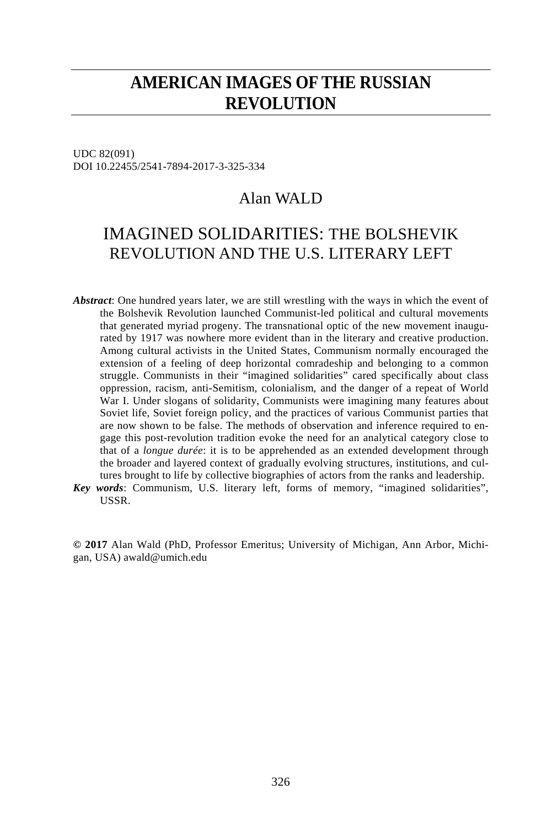# **AMERICAN IMAGES OF THE RUSSIAN REVOLUTION**

UDC 82(091) DOI 10.22455/2541-7894-2017-3-325-334

#### Alan WALD

## IMAGINED SOLIDARITIES: THE BOLSHEVIK REVOLUTION AND THE U.S. LITERARY LEFT

- *Abstract*: One hundred years later, we are still wrestling with the ways in which the event of the Bolshevik Revolution launched Communist-led political and cultural movements that generated myriad progeny. The transnational optic of the new movement inaugurated by 1917 was nowhere more evident than in the literary and creative production. Among cultural activists in the United States, Communism normally encouraged the extension of a feeling of deep horizontal comradeship and belonging to a common struggle. Communists in their "imagined solidarities" cared specifically about class oppression, racism, anti-Semitism, colonialism, and the danger of a repeat of World War I. Under slogans of solidarity, Communists were imagining many features about Soviet life, Soviet foreign policy, and the practices of various Communist parties that are now shown to be false. The methods of observation and inference required to engage this post-revolution tradition evoke the need for an analytical category close to that of a *longue durée*: it is to be apprehended as an extended development through the broader and layered context of gradually evolving structures, institutions, and cultures brought to life by collective biographies of actors from the ranks and leadership.
- *Key words*: Communism, U.S. literary left, forms of memory, "imagined solidarities", USSR.

**© 2017** Alan Wald (PhD, Professor Emeritus; University of Michigan, Ann Arbor, Michigan, USA) awald@umich.edu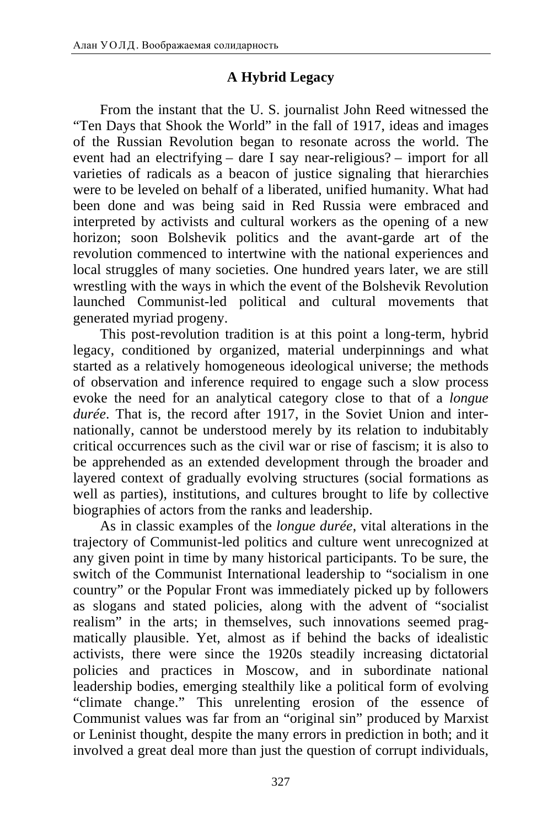## **A Hybrid Legacy**

From the instant that the U. S. journalist John Reed witnessed the "Ten Days that Shook the World" in the fall of 1917, ideas and images of the Russian Revolution began to resonate across the world. The event had an electrifying – dare I say near-religious? – import for all varieties of radicals as a beacon of justice signaling that hierarchies were to be leveled on behalf of a liberated, unified humanity. What had been done and was being said in Red Russia were embraced and interpreted by activists and cultural workers as the opening of a new horizon; soon Bolshevik politics and the avant-garde art of the revolution commenced to intertwine with the national experiences and local struggles of many societies. One hundred years later, we are still wrestling with the ways in which the event of the Bolshevik Revolution launched Communist-led political and cultural movements that generated myriad progeny.

This post-revolution tradition is at this point a long-term, hybrid legacy, conditioned by organized, material underpinnings and what started as a relatively homogeneous ideological universe; the methods of observation and inference required to engage such a slow process evoke the need for an analytical category close to that of a *longue durée*. That is, the record after 1917, in the Soviet Union and internationally, cannot be understood merely by its relation to indubitably critical occurrences such as the civil war or rise of fascism; it is also to be apprehended as an extended development through the broader and layered context of gradually evolving structures (social formations as well as parties), institutions, and cultures brought to life by collective biographies of actors from the ranks and leadership.

As in classic examples of the *longue durée*, vital alterations in the trajectory of Communist-led politics and culture went unrecognized at any given point in time by many historical participants. To be sure, the switch of the Communist International leadership to "socialism in one country" or the Popular Front was immediately picked up by followers as slogans and stated policies, along with the advent of "socialist realism" in the arts; in themselves, such innovations seemed pragmatically plausible. Yet, almost as if behind the backs of idealistic activists, there were since the 1920s steadily increasing dictatorial policies and practices in Moscow, and in subordinate national leadership bodies, emerging stealthily like a political form of evolving "climate change." This unrelenting erosion of the essence of Communist values was far from an "original sin" produced by Marxist or Leninist thought, despite the many errors in prediction in both; and it involved a great deal more than just the question of corrupt individuals,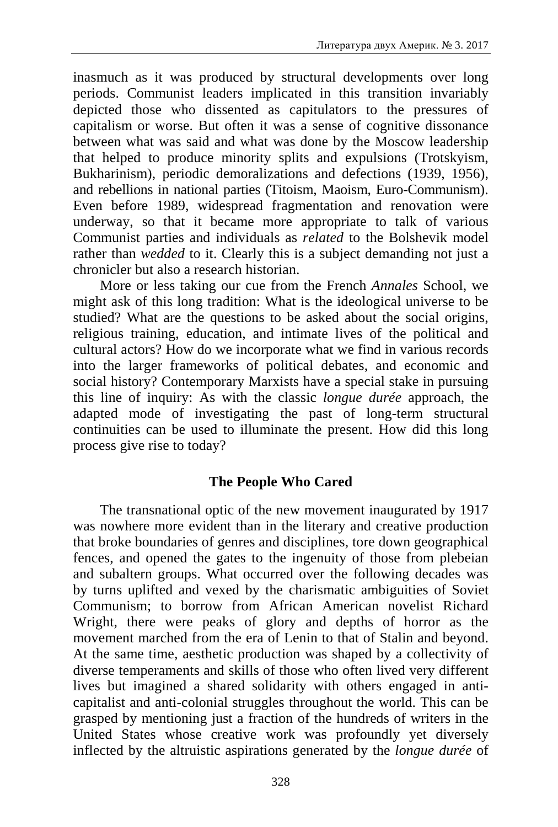inasmuch as it was produced by structural developments over long periods. Communist leaders implicated in this transition invariably depicted those who dissented as capitulators to the pressures of capitalism or worse. But often it was a sense of cognitive dissonance between what was said and what was done by the Moscow leadership that helped to produce minority splits and expulsions (Trotskyism, Bukharinism), periodic demoralizations and defections (1939, 1956), and rebellions in national parties (Titoism, Maoism, Euro-Communism). Even before 1989, widespread fragmentation and renovation were underway, so that it became more appropriate to talk of various Communist parties and individuals as *related* to the Bolshevik model rather than *wedded* to it. Clearly this is a subject demanding not just a chronicler but also a research historian.

More or less taking our cue from the French *Annales* School, we might ask of this long tradition: What is the ideological universe to be studied? What are the questions to be asked about the social origins, religious training, education, and intimate lives of the political and cultural actors? How do we incorporate what we find in various records into the larger frameworks of political debates, and economic and social history? Contemporary Marxists have a special stake in pursuing this line of inquiry: As with the classic *longue durée* approach, the adapted mode of investigating the past of long-term structural continuities can be used to illuminate the present. How did this long process give rise to today?

#### **The People Who Cared**

The transnational optic of the new movement inaugurated by 1917 was nowhere more evident than in the literary and creative production that broke boundaries of genres and disciplines, tore down geographical fences, and opened the gates to the ingenuity of those from plebeian and subaltern groups. What occurred over the following decades was by turns uplifted and vexed by the charismatic ambiguities of Soviet Communism; to borrow from African American novelist Richard Wright, there were peaks of glory and depths of horror as the movement marched from the era of Lenin to that of Stalin and beyond. At the same time, aesthetic production was shaped by a collectivity of diverse temperaments and skills of those who often lived very different lives but imagined a shared solidarity with others engaged in anticapitalist and anti-colonial struggles throughout the world. This can be grasped by mentioning just a fraction of the hundreds of writers in the United States whose creative work was profoundly yet diversely inflected by the altruistic aspirations generated by the *longue durée* of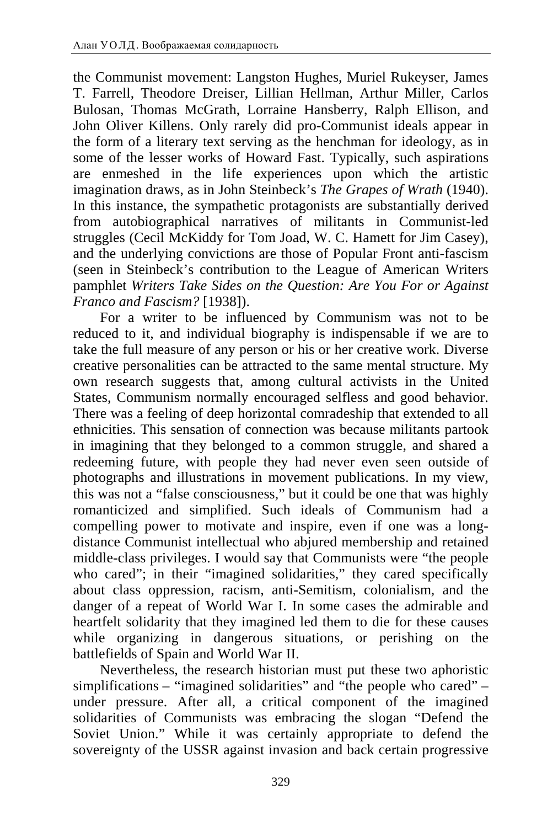the Communist movement: Langston Hughes, Muriel Rukeyser, James T. Farrell, Theodore Dreiser, Lillian Hellman, Arthur Miller, Carlos Bulosan, Thomas McGrath, Lorraine Hansberry, Ralph Ellison, and John Oliver Killens. Only rarely did pro-Communist ideals appear in the form of a literary text serving as the henchman for ideology, as in some of the lesser works of Howard Fast. Typically, such aspirations are enmeshed in the life experiences upon which the artistic imagination draws, as in John Steinbeck's *The Grapes of Wrath* (1940). In this instance, the sympathetic protagonists are substantially derived from autobiographical narratives of militants in Communist-led struggles (Cecil McKiddy for Tom Joad, W. C. Hamett for Jim Casey), and the underlying convictions are those of Popular Front anti-fascism (seen in Steinbeck's contribution to the League of American Writers pamphlet *Writers Take Sides on the Question: Are You For or Against Franco and Fascism?* [1938]).

For a writer to be influenced by Communism was not to be reduced to it, and individual biography is indispensable if we are to take the full measure of any person or his or her creative work. Diverse creative personalities can be attracted to the same mental structure. My own research suggests that, among cultural activists in the United States, Communism normally encouraged selfless and good behavior. There was a feeling of deep horizontal comradeship that extended to all ethnicities. This sensation of connection was because militants partook in imagining that they belonged to a common struggle, and shared a redeeming future, with people they had never even seen outside of photographs and illustrations in movement publications. In my view, this was not a "false consciousness," but it could be one that was highly romanticized and simplified. Such ideals of Communism had a compelling power to motivate and inspire, even if one was a longdistance Communist intellectual who abjured membership and retained middle-class privileges. I would say that Communists were "the people who cared"; in their "imagined solidarities," they cared specifically about class oppression, racism, anti-Semitism, colonialism, and the danger of a repeat of World War I. In some cases the admirable and heartfelt solidarity that they imagined led them to die for these causes while organizing in dangerous situations, or perishing on the battlefields of Spain and World War II.

Nevertheless, the research historian must put these two aphoristic simplifications – "imagined solidarities" and "the people who cared" – under pressure. After all, a critical component of the imagined solidarities of Communists was embracing the slogan "Defend the Soviet Union." While it was certainly appropriate to defend the sovereignty of the USSR against invasion and back certain progressive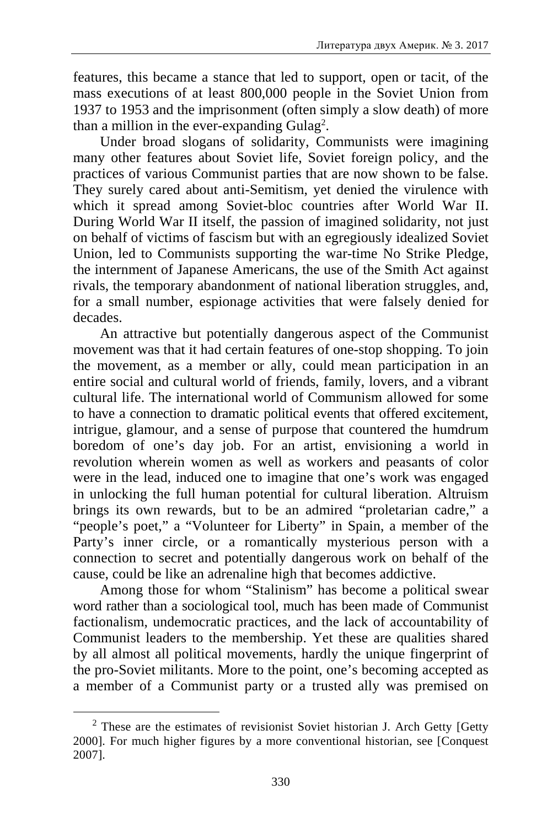features, this became a stance that led to support, open or tacit, of the mass executions of at least 800,000 people in the Soviet Union from 1937 to 1953 and the imprisonment (often simply a slow death) of more than a million in the ever-expanding Gulag<sup>2</sup>.

Under broad slogans of solidarity, Communists were imagining many other features about Soviet life, Soviet foreign policy, and the practices of various Communist parties that are now shown to be false. They surely cared about anti-Semitism, yet denied the virulence with which it spread among Soviet-bloc countries after World War II. During World War II itself, the passion of imagined solidarity, not just on behalf of victims of fascism but with an egregiously idealized Soviet Union, led to Communists supporting the war-time No Strike Pledge, the internment of Japanese Americans, the use of the Smith Act against rivals, the temporary abandonment of national liberation struggles, and, for a small number, espionage activities that were falsely denied for decades.

An attractive but potentially dangerous aspect of the Communist movement was that it had certain features of one-stop shopping. To join the movement, as a member or ally, could mean participation in an entire social and cultural world of friends, family, lovers, and a vibrant cultural life. The international world of Communism allowed for some to have a connection to dramatic political events that offered excitement, intrigue, glamour, and a sense of purpose that countered the humdrum boredom of one's day job. For an artist, envisioning a world in revolution wherein women as well as workers and peasants of color were in the lead, induced one to imagine that one's work was engaged in unlocking the full human potential for cultural liberation. Altruism brings its own rewards, but to be an admired "proletarian cadre," a "people's poet," a "Volunteer for Liberty" in Spain, a member of the Party's inner circle, or a romantically mysterious person with a connection to secret and potentially dangerous work on behalf of the cause, could be like an adrenaline high that becomes addictive.

Among those for whom "Stalinism" has become a political swear word rather than a sociological tool, much has been made of Communist factionalism, undemocratic practices, and the lack of accountability of Communist leaders to the membership. Yet these are qualities shared by all almost all political movements, hardly the unique fingerprint of the pro-Soviet militants. More to the point, one's becoming accepted as a member of a Communist party or a trusted ally was premised on

 $2$  These are the estimates of revisionist Soviet historian J. Arch Getty [Getty] 2000]. For much higher figures by a more conventional historian, see [Conquest 2007].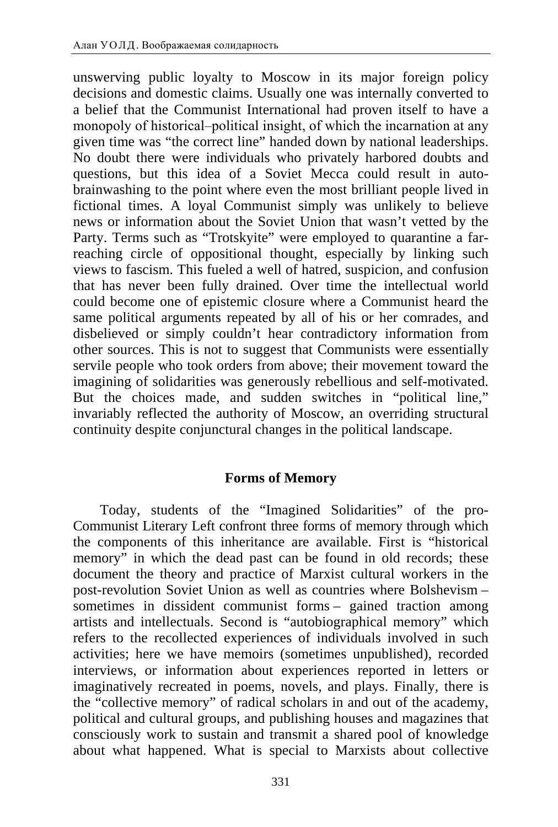unswerving public loyalty to Moscow in its major foreign policy decisions and domestic claims. Usually one was internally converted to a belief that the Communist International had proven itself to have a monopoly of historical-political insight, of which the incarnation at any given time was "the correct line" handed down by national leaderships. No doubt there were individuals who privately harbored doubts and questions, but this idea of a Soviet Mecca could result in autobrainwashing to the point where even the most brilliant people lived in fictional times. A loyal Communist simply was unlikely to believe news or information about the Soviet Union that wasn't vetted by the Party. Terms such as "Trotskyite" were employed to quarantine a farreaching circle of oppositional thought, especially by linking such views to fascism. This fueled a well of hatred, suspicion, and confusion that has never been fully drained. Over time the intellectual world could become one of epistemic closure where a Communist heard the same political arguments repeated by all of his or her comrades, and disbelieved or simply couldn't hear contradictory information from other sources. This is not to suggest that Communists were essentially servile people who took orders from above; their movement toward the imagining of solidarities was generously rebellious and self-motivated. But the choices made, and sudden switches in "political line," invariably reflected the authority of Moscow, an overriding structural continuity despite conjunctural changes in the political landscape.

#### **Forms of Memory**

Today, students of the "Imagined Solidarities" of the pro-Communist Literary Left confront three forms of memory through which the components of this inheritance are available. First is "historical memory" in which the dead past can be found in old records; these document the theory and practice of Marxist cultural workers in the post-revolution Soviet Union as well as countries where Bolshevism – sometimes in dissident communist forms – gained traction among artists and intellectuals. Second is "autobiographical memory" which refers to the recollected experiences of individuals involved in such activities; here we have memoirs (sometimes unpublished), recorded interviews, or information about experiences reported in letters or imaginatively recreated in poems, novels, and plays. Finally, there is the "collective memory" of radical scholars in and out of the academy, political and cultural groups, and publishing houses and magazines that consciously work to sustain and transmit a shared pool of knowledge about what happened. What is special to Marxists about collective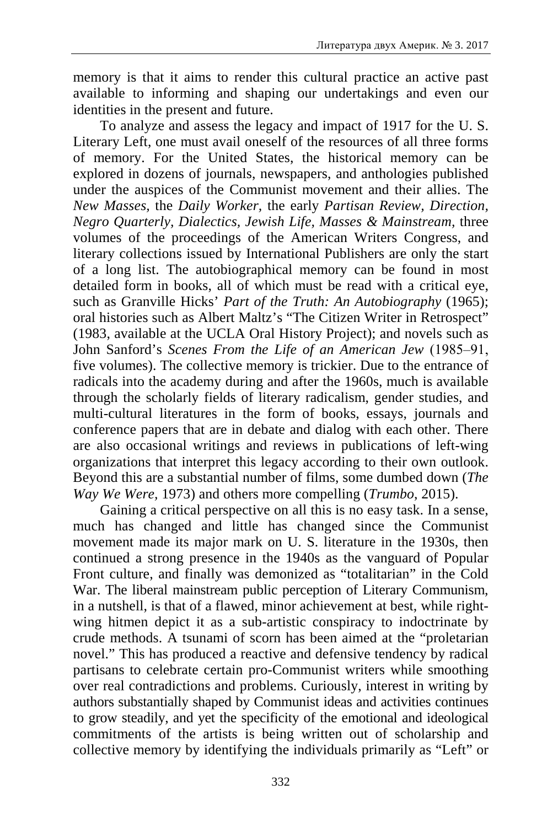memory is that it aims to render this cultural practice an active past available to informing and shaping our undertakings and even our identities in the present and future.

To analyze and assess the legacy and impact of 1917 for the U. S. Literary Left, one must avail oneself of the resources of all three forms of memory. For the United States, the historical memory can be explored in dozens of journals, newspapers, and anthologies published under the auspices of the Communist movement and their allies. The *New Masses,* the *Daily Worker,* the early *Partisan Review, Direction, Negro Quarterly, Dialectics, Jewish Life, Masses & Mainstream,* three volumes of the proceedings of the American Writers Congress, and literary collections issued by International Publishers are only the start of a long list. The autobiographical memory can be found in most detailed form in books, all of which must be read with a critical eye, such as Granville Hicks' *Part of the Truth: An Autobiography* (1965); oral histories such as Albert Maltz's "The Citizen Writer in Retrospect" (1983, available at the UCLA Oral History Project); and novels such as John Sanford's *Scenes From the Life of an American Jew* (1985–91, five volumes). The collective memory is trickier. Due to the entrance of radicals into the academy during and after the 1960s, much is available through the scholarly fields of literary radicalism, gender studies, and multi-cultural literatures in the form of books, essays, journals and conference papers that are in debate and dialog with each other. There are also occasional writings and reviews in publications of left-wing organizations that interpret this legacy according to their own outlook. Beyond this are a substantial number of films, some dumbed down (*The Way We Were,* 1973) and others more compelling (*Trumbo*, 2015).

Gaining a critical perspective on all this is no easy task. In a sense, much has changed and little has changed since the Communist movement made its major mark on U. S. literature in the 1930s, then continued a strong presence in the 1940s as the vanguard of Popular Front culture, and finally was demonized as "totalitarian" in the Cold War. The liberal mainstream public perception of Literary Communism, in a nutshell, is that of a flawed, minor achievement at best, while rightwing hitmen depict it as a sub-artistic conspiracy to indoctrinate by crude methods. A tsunami of scorn has been aimed at the "proletarian novel." This has produced a reactive and defensive tendency by radical partisans to celebrate certain pro-Communist writers while smoothing over real contradictions and problems. Curiously, interest in writing by authors substantially shaped by Communist ideas and activities continues to grow steadily, and yet the specificity of the emotional and ideological commitments of the artists is being written out of scholarship and collective memory by identifying the individuals primarily as "Left" or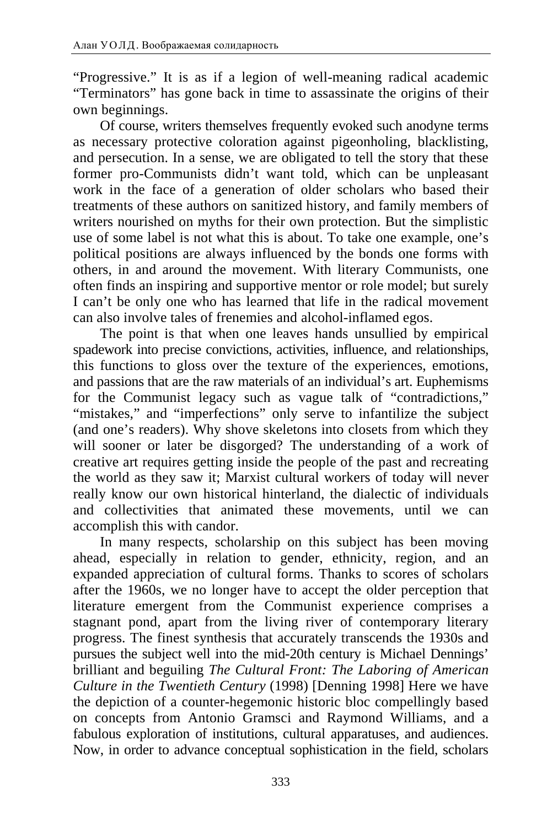"Progressive." It is as if a legion of well-meaning radical academic "Terminators" has gone back in time to assassinate the origins of their own beginnings.

Of course, writers themselves frequently evoked such anodyne terms as necessary protective coloration against pigeonholing, blacklisting, and persecution. In a sense, we are obligated to tell the story that these former pro-Communists didn't want told, which can be unpleasant work in the face of a generation of older scholars who based their treatments of these authors on sanitized history, and family members of writers nourished on myths for their own protection. But the simplistic use of some label is not what this is about. To take one example, one's political positions are always influenced by the bonds one forms with others, in and around the movement. With literary Communists, one often finds an inspiring and supportive mentor or role model; but surely I can't be only one who has learned that life in the radical movement can also involve tales of frenemies and alcohol-inflamed egos.

The point is that when one leaves hands unsullied by empirical spadework into precise convictions, activities, influence, and relationships, this functions to gloss over the texture of the experiences, emotions, and passions that are the raw materials of an individual's art. Euphemisms for the Communist legacy such as vague talk of "contradictions," "mistakes," and "imperfections" only serve to infantilize the subject (and one's readers). Why shove skeletons into closets from which they will sooner or later be disgorged? The understanding of a work of creative art requires getting inside the people of the past and recreating the world as they saw it; Marxist cultural workers of today will never really know our own historical hinterland, the dialectic of individuals and collectivities that animated these movements, until we can accomplish this with candor.

In many respects, scholarship on this subject has been moving ahead, especially in relation to gender, ethnicity, region, and an expanded appreciation of cultural forms. Thanks to scores of scholars after the 1960s, we no longer have to accept the older perception that literature emergent from the Communist experience comprises a stagnant pond, apart from the living river of contemporary literary progress. The finest synthesis that accurately transcends the 1930s and pursues the subject well into the mid-20th century is Michael Dennings' brilliant and beguiling *The Cultural Front: The Laboring of American Culture in the Twentieth Century* (1998) [Denning 1998] Here we have the depiction of a counter-hegemonic historic bloc compellingly based on concepts from Antonio Gramsci and Raymond Williams, and a fabulous exploration of institutions, cultural apparatuses, and audiences. Now, in order to advance conceptual sophistication in the field, scholars